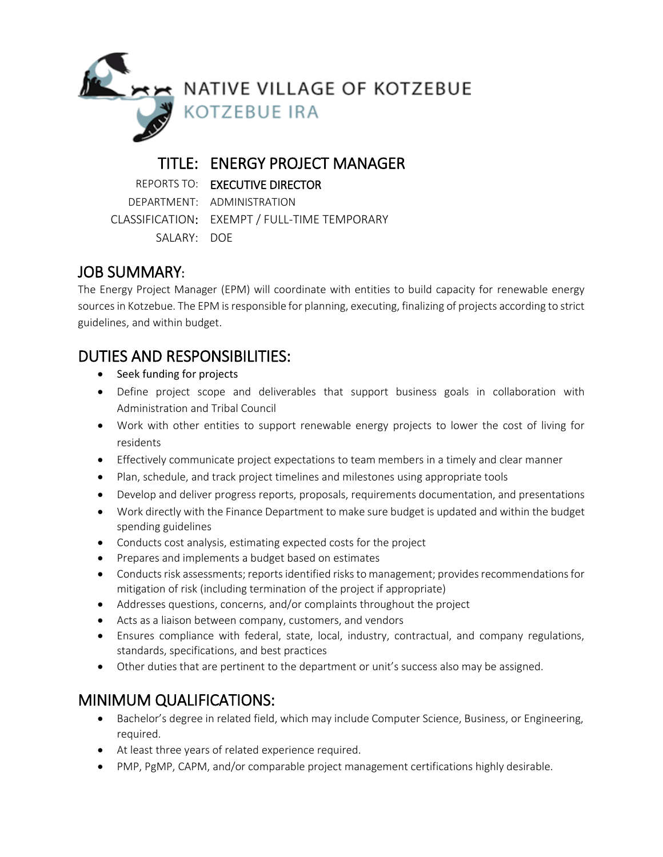

## TITLE: ENERGY PROJECT MANAGER

REPORTS TO: EXECUTIVE DIRECTOR DEPARTMENT: ADMINISTRATION

CLASSIFICATION: EXEMPT / FULL-TIME TEMPORARY SALARY: DOE

# JOB SUMMARY:

The Energy Project Manager (EPM) will coordinate with entities to build capacity for renewable energy sources in Kotzebue. The EPM is responsible for planning, executing, finalizing of projects according to strict guidelines, and within budget.

## DUTIES AND RESPONSIBILITIES:

- Seek funding for projects
- Define project scope and deliverables that support business goals in collaboration with Administration and Tribal Council
- Work with other entities to support renewable energy projects to lower the cost of living for residents
- Effectively communicate project expectations to team members in a timely and clear manner
- Plan, schedule, and track project timelines and milestones using appropriate tools
- Develop and deliver progress reports, proposals, requirements documentation, and presentations
- Work directly with the Finance Department to make sure budget is updated and within the budget spending guidelines
- Conducts cost analysis, estimating expected costs for the project
- **•** Prepares and implements a budget based on estimates
- Conducts risk assessments; reports identified risks to management; provides recommendations for mitigation of risk (including termination of the project if appropriate)
- Addresses questions, concerns, and/or complaints throughout the project
- Acts as a liaison between company, customers, and vendors
- Ensures compliance with federal, state, local, industry, contractual, and company regulations, standards, specifications, and best practices
- Other duties that are pertinent to the department or unit's success also may be assigned.

# MINIMUM QUALIFICATIONS:

- Bachelor's degree in related field, which may include Computer Science, Business, or Engineering, required.
- At least three years of related experience required.
- PMP, PgMP, CAPM, and/or comparable project management certifications highly desirable.